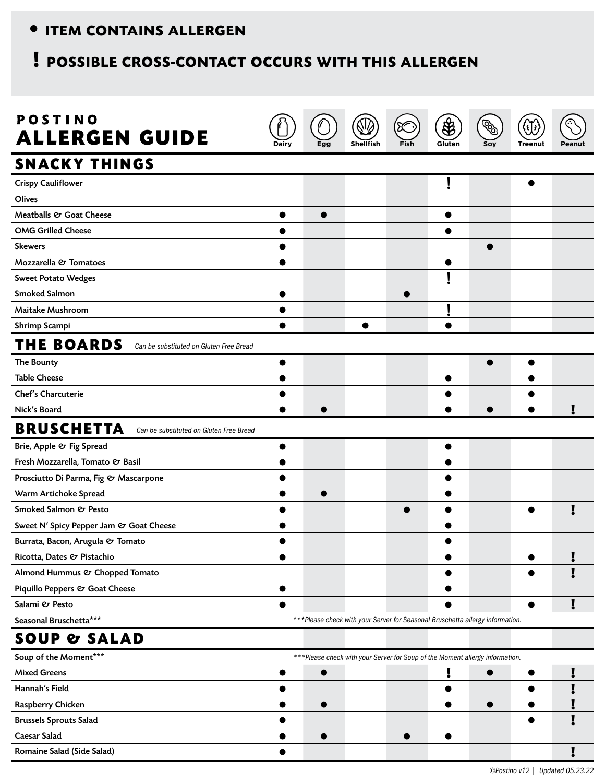## • ITEM CONTAINS ALLERGEN **•• ITEM CONTAINS ALLERGEN**

## **! POSSIBLE CROSS-CONTACT OCCURS WITH THIS ALLERGEN**

| <b>POSTINO</b><br><b>ALLERGEN GUIDE</b>                      | Dairy |           | Shellfish                                                                     | Fish | $\bigcircledast$<br>Gluten | Soy       | <b>Treenut</b> | Peanut |
|--------------------------------------------------------------|-------|-----------|-------------------------------------------------------------------------------|------|----------------------------|-----------|----------------|--------|
| <b>SNACKY THINGS</b>                                         |       |           |                                                                               |      |                            |           |                |        |
| <b>Crispy Cauliflower</b>                                    |       |           |                                                                               |      |                            |           | $\bullet$      |        |
| <b>Olives</b>                                                |       |           |                                                                               |      |                            |           |                |        |
| Meatballs & Goat Cheese                                      |       |           |                                                                               |      | ●                          |           |                |        |
| <b>OMG Grilled Cheese</b>                                    |       |           |                                                                               |      |                            |           |                |        |
| <b>Skewers</b>                                               |       |           |                                                                               |      |                            |           |                |        |
| Mozzarella & Tomatoes                                        |       |           |                                                                               |      |                            |           |                |        |
| <b>Sweet Potato Wedges</b>                                   |       |           |                                                                               |      |                            |           |                |        |
| <b>Smoked Salmon</b>                                         |       |           |                                                                               |      |                            |           |                |        |
| <b>Maitake Mushroom</b>                                      |       |           |                                                                               |      |                            |           |                |        |
| Shrimp Scampi                                                |       |           | $\bullet$                                                                     |      |                            |           |                |        |
| <b>THE BOARDS</b><br>Can be substituted on Gluten Free Bread |       |           |                                                                               |      |                            |           |                |        |
| The Bounty                                                   |       |           |                                                                               |      |                            | $\bullet$ | $\bullet$      |        |
| <b>Table Cheese</b>                                          |       |           |                                                                               |      | $\bullet$                  |           |                |        |
| Chef's Charcuterie                                           |       |           |                                                                               |      |                            |           |                |        |
| Nick's Board                                                 |       | ●         |                                                                               |      |                            |           |                |        |
| <b>BRUSCHETTA</b><br>Can be substituted on Gluten Free Bread |       |           |                                                                               |      |                            |           |                |        |
| Brie, Apple & Fig Spread                                     | 0     |           |                                                                               |      |                            |           |                |        |
| Fresh Mozzarella, Tomato & Basil                             |       |           |                                                                               |      |                            |           |                |        |
| Prosciutto Di Parma, Fig & Mascarpone                        |       |           |                                                                               |      |                            |           |                |        |
| Warm Artichoke Spread                                        |       |           |                                                                               |      |                            |           |                |        |
| Smoked Salmon & Pesto                                        |       |           |                                                                               |      |                            |           |                |        |
| Sweet N' Spicy Pepper Jam & Goat Cheese                      |       |           |                                                                               |      |                            |           |                |        |
| Burrata, Bacon, Arugula & Tomato                             |       |           |                                                                               |      |                            |           |                |        |
| Ricotta, Dates & Pistachio                                   | ●     |           |                                                                               |      | $\bullet$                  |           |                |        |
| Almond Hummus & Chopped Tomato                               |       |           |                                                                               |      |                            |           |                |        |
| Piquillo Peppers & Goat Cheese                               |       |           |                                                                               |      |                            |           |                |        |
| Salami & Pesto                                               |       |           |                                                                               |      |                            |           |                |        |
| Seasonal Bruschetta***                                       |       |           | ***Please check with your Server for Seasonal Bruschetta allergy information. |      |                            |           |                |        |
| <b>SOUP &amp; SALAD</b>                                      |       |           |                                                                               |      |                            |           |                |        |
| Soup of the Moment***                                        |       |           | *** Please check with your Server for Soup of the Moment allergy information. |      |                            |           |                |        |
| <b>Mixed Greens</b>                                          |       |           |                                                                               |      | Į                          | 0         |                |        |
| Hannah's Field                                               |       |           |                                                                               |      | 0                          |           |                |        |
| Raspberry Chicken                                            |       | $\bullet$ |                                                                               |      |                            | $\bullet$ |                |        |
| <b>Brussels Sprouts Salad</b>                                |       |           |                                                                               |      |                            |           |                |        |
| <b>Caesar Salad</b>                                          |       | $\bullet$ |                                                                               |      | $\bullet$                  |           |                |        |
| Romaine Salad (Side Salad)                                   |       |           |                                                                               |      |                            |           |                |        |